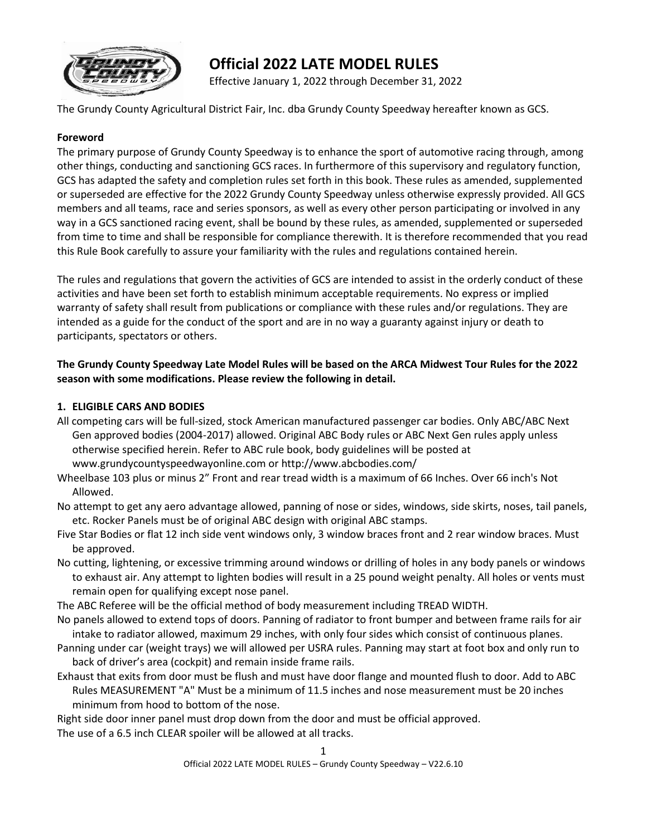

# **Official 2022 LATE MODEL RULES**

Effective January 1, 2022 through December 31, 2022

The Grundy County Agricultural District Fair, Inc. dba Grundy County Speedway hereafter known as GCS.

# **Foreword**

The primary purpose of Grundy County Speedway is to enhance the sport of automotive racing through, among other things, conducting and sanctioning GCS races. In furthermore of this supervisory and regulatory function, GCS has adapted the safety and completion rules set forth in this book. These rules as amended, supplemented or superseded are effective for the 2022 Grundy County Speedway unless otherwise expressly provided. All GCS members and all teams, race and series sponsors, as well as every other person participating or involved in any way in a GCS sanctioned racing event, shall be bound by these rules, as amended, supplemented or superseded from time to time and shall be responsible for compliance therewith. It is therefore recommended that you read this Rule Book carefully to assure your familiarity with the rules and regulations contained herein.

The rules and regulations that govern the activities of GCS are intended to assist in the orderly conduct of these activities and have been set forth to establish minimum acceptable requirements. No express or implied warranty of safety shall result from publications or compliance with these rules and/or regulations. They are intended as a guide for the conduct of the sport and are in no way a guaranty against injury or death to participants, spectators or others.

# **The Grundy County Speedway Late Model Rules will be based on the ARCA Midwest Tour Rules for the 2022 season with some modifications. Please review the following in detail.**

# **1. ELIGIBLE CARS AND BODIES**

All competing cars will be full-sized, stock American manufactured passenger car bodies. Only ABC/ABC Next Gen approved bodies (2004-2017) allowed. Original ABC Body rules or ABC Next Gen rules apply unless otherwise specified herein. Refer to ABC rule book, body guidelines will be posted at www.grundycountyspeedwayonline.com or http://www.abcbodies.com/

Wheelbase 103 plus or minus 2" Front and rear tread width is a maximum of 66 Inches. Over 66 inch's Not Allowed.

No attempt to get any aero advantage allowed, panning of nose or sides, windows, side skirts, noses, tail panels, etc. Rocker Panels must be of original ABC design with original ABC stamps.

- Five Star Bodies or flat 12 inch side vent windows only, 3 window braces front and 2 rear window braces. Must be approved.
- No cutting, lightening, or excessive trimming around windows or drilling of holes in any body panels or windows to exhaust air. Any attempt to lighten bodies will result in a 25 pound weight penalty. All holes or vents must remain open for qualifying except nose panel.

The ABC Referee will be the official method of body measurement including TREAD WIDTH.

- No panels allowed to extend tops of doors. Panning of radiator to front bumper and between frame rails for air intake to radiator allowed, maximum 29 inches, with only four sides which consist of continuous planes.
- Panning under car (weight trays) we will allowed per USRA rules. Panning may start at foot box and only run to back of driver's area (cockpit) and remain inside frame rails.
- Exhaust that exits from door must be flush and must have door flange and mounted flush to door. Add to ABC Rules MEASUREMENT "A" Must be a minimum of 11.5 inches and nose measurement must be 20 inches minimum from hood to bottom of the nose.

Right side door inner panel must drop down from the door and must be official approved.

The use of a 6.5 inch CLEAR spoiler will be allowed at all tracks.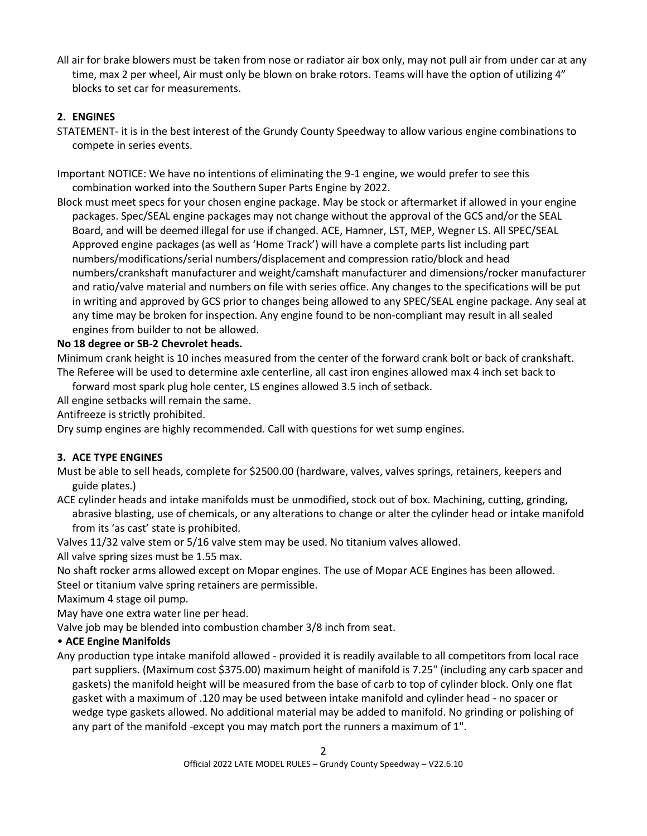All air for brake blowers must be taken from nose or radiator air box only, may not pull air from under car at any time, max 2 per wheel, Air must only be blown on brake rotors. Teams will have the option of utilizing 4" blocks to set car for measurements.

# **2. ENGINES**

STATEMENT- it is in the best interest of the Grundy County Speedway to allow various engine combinations to compete in series events.

Important NOTICE: We have no intentions of eliminating the 9-1 engine, we would prefer to see this combination worked into the Southern Super Parts Engine by 2022.

Block must meet specs for your chosen engine package. May be stock or aftermarket if allowed in your engine packages. Spec/SEAL engine packages may not change without the approval of the GCS and/or the SEAL Board, and will be deemed illegal for use if changed. ACE, Hamner, LST, MEP, Wegner LS. All SPEC/SEAL Approved engine packages (as well as 'Home Track') will have a complete parts list including part numbers/modifications/serial numbers/displacement and compression ratio/block and head numbers/crankshaft manufacturer and weight/camshaft manufacturer and dimensions/rocker manufacturer and ratio/valve material and numbers on file with series office. Any changes to the specifications will be put in writing and approved by GCS prior to changes being allowed to any SPEC/SEAL engine package. Any seal at any time may be broken for inspection. Any engine found to be non-compliant may result in all sealed engines from builder to not be allowed.

# **No 18 degree or SB-2 Chevrolet heads.**

Minimum crank height is 10 inches measured from the center of the forward crank bolt or back of crankshaft. The Referee will be used to determine axle centerline, all cast iron engines allowed max 4 inch set back to

forward most spark plug hole center, LS engines allowed 3.5 inch of setback.

All engine setbacks will remain the same.

Antifreeze is strictly prohibited.

Dry sump engines are highly recommended. Call with questions for wet sump engines.

#### **3. ACE TYPE ENGINES**

Must be able to sell heads, complete for \$2500.00 (hardware, valves, valves springs, retainers, keepers and guide plates.)

ACE cylinder heads and intake manifolds must be unmodified, stock out of box. Machining, cutting, grinding, abrasive blasting, use of chemicals, or any alterations to change or alter the cylinder head or intake manifold from its 'as cast' state is prohibited.

Valves 11/32 valve stem or 5/16 valve stem may be used. No titanium valves allowed.

All valve spring sizes must be 1.55 max.

No shaft rocker arms allowed except on Mopar engines. The use of Mopar ACE Engines has been allowed. Steel or titanium valve spring retainers are permissible.

Maximum 4 stage oil pump.

May have one extra water line per head.

Valve job may be blended into combustion chamber 3/8 inch from seat.

# • **ACE Engine Manifolds**

Any production type intake manifold allowed - provided it is readily available to all competitors from local race part suppliers. (Maximum cost \$375.00) maximum height of manifold is 7.25" (including any carb spacer and gaskets) the manifold height will be measured from the base of carb to top of cylinder block. Only one flat gasket with a maximum of .120 may be used between intake manifold and cylinder head - no spacer or wedge type gaskets allowed. No additional material may be added to manifold. No grinding or polishing of any part of the manifold -except you may match port the runners a maximum of 1".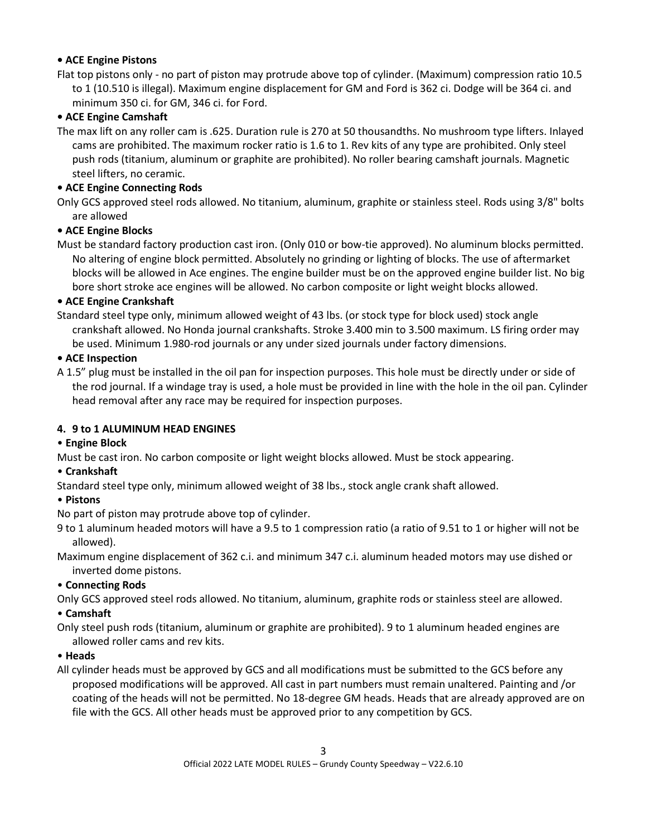# **• ACE Engine Pistons**

Flat top pistons only - no part of piston may protrude above top of cylinder. (Maximum) compression ratio 10.5 to 1 (10.510 is illegal). Maximum engine displacement for GM and Ford is 362 ci. Dodge will be 364 ci. and minimum 350 ci. for GM, 346 ci. for Ford.

# **• ACE Engine Camshaft**

The max lift on any roller cam is .625. Duration rule is 270 at 50 thousandths. No mushroom type lifters. Inlayed cams are prohibited. The maximum rocker ratio is 1.6 to 1. Rev kits of any type are prohibited. Only steel push rods (titanium, aluminum or graphite are prohibited). No roller bearing camshaft journals. Magnetic steel lifters, no ceramic.

# **• ACE Engine Connecting Rods**

Only GCS approved steel rods allowed. No titanium, aluminum, graphite or stainless steel. Rods using 3/8" bolts are allowed

# **• ACE Engine Blocks**

Must be standard factory production cast iron. (Only 010 or bow-tie approved). No aluminum blocks permitted. No altering of engine block permitted. Absolutely no grinding or lighting of blocks. The use of aftermarket blocks will be allowed in Ace engines. The engine builder must be on the approved engine builder list. No big bore short stroke ace engines will be allowed. No carbon composite or light weight blocks allowed.

# **• ACE Engine Crankshaft**

Standard steel type only, minimum allowed weight of 43 lbs. (or stock type for block used) stock angle crankshaft allowed. No Honda journal crankshafts. Stroke 3.400 min to 3.500 maximum. LS firing order may be used. Minimum 1.980-rod journals or any under sized journals under factory dimensions.

# **• ACE Inspection**

A 1.5" plug must be installed in the oil pan for inspection purposes. This hole must be directly under or side of the rod journal. If a windage tray is used, a hole must be provided in line with the hole in the oil pan. Cylinder head removal after any race may be required for inspection purposes.

# **4. 9 to 1 ALUMINUM HEAD ENGINES**

# • **Engine Block**

Must be cast iron. No carbon composite or light weight blocks allowed. Must be stock appearing.

#### • **Crankshaft**

Standard steel type only, minimum allowed weight of 38 lbs., stock angle crank shaft allowed.

#### • **Pistons**

No part of piston may protrude above top of cylinder.

9 to 1 aluminum headed motors will have a 9.5 to 1 compression ratio (a ratio of 9.51 to 1 or higher will not be allowed).

Maximum engine displacement of 362 c.i. and minimum 347 c.i. aluminum headed motors may use dished or inverted dome pistons.

#### • **Connecting Rods**

Only GCS approved steel rods allowed. No titanium, aluminum, graphite rods or stainless steel are allowed.

#### • **Camshaft**

Only steel push rods (titanium, aluminum or graphite are prohibited). 9 to 1 aluminum headed engines are allowed roller cams and rev kits.

#### • **Heads**

All cylinder heads must be approved by GCS and all modifications must be submitted to the GCS before any proposed modifications will be approved. All cast in part numbers must remain unaltered. Painting and /or coating of the heads will not be permitted. No 18-degree GM heads. Heads that are already approved are on file with the GCS. All other heads must be approved prior to any competition by GCS.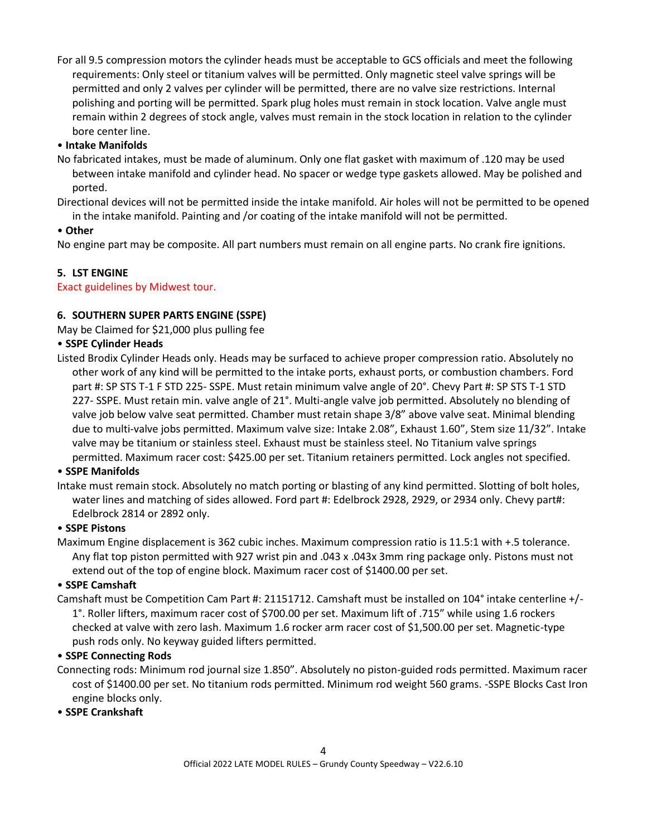For all 9.5 compression motors the cylinder heads must be acceptable to GCS officials and meet the following requirements: Only steel or titanium valves will be permitted. Only magnetic steel valve springs will be permitted and only 2 valves per cylinder will be permitted, there are no valve size restrictions. Internal polishing and porting will be permitted. Spark plug holes must remain in stock location. Valve angle must remain within 2 degrees of stock angle, valves must remain in the stock location in relation to the cylinder bore center line.

# • **Intake Manifolds**

- No fabricated intakes, must be made of aluminum. Only one flat gasket with maximum of .120 may be used between intake manifold and cylinder head. No spacer or wedge type gaskets allowed. May be polished and ported.
- Directional devices will not be permitted inside the intake manifold. Air holes will not be permitted to be opened in the intake manifold. Painting and /or coating of the intake manifold will not be permitted.

# • **Other**

No engine part may be composite. All part numbers must remain on all engine parts. No crank fire ignitions.

# **5. LST ENGINE**

#### Exact guidelines by Midwest tour.

# **6. SOUTHERN SUPER PARTS ENGINE (SSPE)**

May be Claimed for \$21,000 plus pulling fee

# • **SSPE Cylinder Heads**

Listed Brodix Cylinder Heads only. Heads may be surfaced to achieve proper compression ratio. Absolutely no other work of any kind will be permitted to the intake ports, exhaust ports, or combustion chambers. Ford part #: SP STS T-1 F STD 225- SSPE. Must retain minimum valve angle of 20°. Chevy Part #: SP STS T-1 STD 227- SSPE. Must retain min. valve angle of 21°. Multi-angle valve job permitted. Absolutely no blending of valve job below valve seat permitted. Chamber must retain shape 3/8" above valve seat. Minimal blending due to multi-valve jobs permitted. Maximum valve size: Intake 2.08", Exhaust 1.60", Stem size 11/32". Intake valve may be titanium or stainless steel. Exhaust must be stainless steel. No Titanium valve springs permitted. Maximum racer cost: \$425.00 per set. Titanium retainers permitted. Lock angles not specified.

#### • **SSPE Manifolds**

Intake must remain stock. Absolutely no match porting or blasting of any kind permitted. Slotting of bolt holes, water lines and matching of sides allowed. Ford part #: Edelbrock 2928, 2929, or 2934 only. Chevy part#: Edelbrock 2814 or 2892 only.

# • **SSPE Pistons**

Maximum Engine displacement is 362 cubic inches. Maximum compression ratio is 11.5:1 with +.5 tolerance. Any flat top piston permitted with 927 wrist pin and .043 x .043x 3mm ring package only. Pistons must not extend out of the top of engine block. Maximum racer cost of \$1400.00 per set.

#### • **SSPE Camshaft**

Camshaft must be Competition Cam Part #: 21151712. Camshaft must be installed on 104° intake centerline +/- 1°. Roller lifters, maximum racer cost of \$700.00 per set. Maximum lift of .715" while using 1.6 rockers checked at valve with zero lash. Maximum 1.6 rocker arm racer cost of \$1,500.00 per set. Magnetic-type push rods only. No keyway guided lifters permitted.

#### • **SSPE Connecting Rods**

Connecting rods: Minimum rod journal size 1.850". Absolutely no piston-guided rods permitted. Maximum racer cost of \$1400.00 per set. No titanium rods permitted. Minimum rod weight 560 grams. -SSPE Blocks Cast Iron engine blocks only.

#### • **SSPE Crankshaft**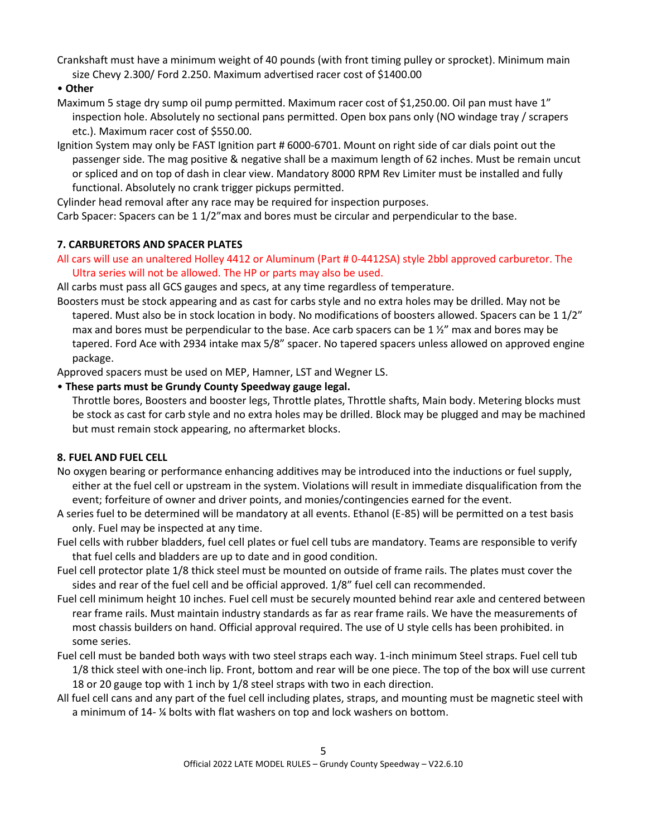Crankshaft must have a minimum weight of 40 pounds (with front timing pulley or sprocket). Minimum main size Chevy 2.300/ Ford 2.250. Maximum advertised racer cost of \$1400.00

• **Other** 

- Maximum 5 stage dry sump oil pump permitted. Maximum racer cost of \$1,250.00. Oil pan must have 1" inspection hole. Absolutely no sectional pans permitted. Open box pans only (NO windage tray / scrapers etc.). Maximum racer cost of \$550.00.
- Ignition System may only be FAST Ignition part # 6000-6701. Mount on right side of car dials point out the passenger side. The mag positive & negative shall be a maximum length of 62 inches. Must be remain uncut or spliced and on top of dash in clear view. Mandatory 8000 RPM Rev Limiter must be installed and fully functional. Absolutely no crank trigger pickups permitted.

Cylinder head removal after any race may be required for inspection purposes.

Carb Spacer: Spacers can be 1 1/2"max and bores must be circular and perpendicular to the base.

# **7. CARBURETORS AND SPACER PLATES**

All cars will use an unaltered Holley 4412 or Aluminum (Part # 0-4412SA) style 2bbl approved carburetor. The Ultra series will not be allowed. The HP or parts may also be used.

All carbs must pass all GCS gauges and specs, at any time regardless of temperature.

Boosters must be stock appearing and as cast for carbs style and no extra holes may be drilled. May not be tapered. Must also be in stock location in body. No modifications of boosters allowed. Spacers can be 1 1/2" max and bores must be perpendicular to the base. Ace carb spacers can be 1 $\frac{1}{2}$ " max and bores may be tapered. Ford Ace with 2934 intake max 5/8" spacer. No tapered spacers unless allowed on approved engine package.

Approved spacers must be used on MEP, Hamner, LST and Wegner LS.

# • **These parts must be Grundy County Speedway gauge legal.**

Throttle bores, Boosters and booster legs, Throttle plates, Throttle shafts, Main body. Metering blocks must be stock as cast for carb style and no extra holes may be drilled. Block may be plugged and may be machined but must remain stock appearing, no aftermarket blocks.

# **8. FUEL AND FUEL CELL**

- No oxygen bearing or performance enhancing additives may be introduced into the inductions or fuel supply, either at the fuel cell or upstream in the system. Violations will result in immediate disqualification from the event; forfeiture of owner and driver points, and monies/contingencies earned for the event.
- A series fuel to be determined will be mandatory at all events. Ethanol (E-85) will be permitted on a test basis only. Fuel may be inspected at any time.
- Fuel cells with rubber bladders, fuel cell plates or fuel cell tubs are mandatory. Teams are responsible to verify that fuel cells and bladders are up to date and in good condition.
- Fuel cell protector plate 1/8 thick steel must be mounted on outside of frame rails. The plates must cover the sides and rear of the fuel cell and be official approved. 1/8" fuel cell can recommended.
- Fuel cell minimum height 10 inches. Fuel cell must be securely mounted behind rear axle and centered between rear frame rails. Must maintain industry standards as far as rear frame rails. We have the measurements of most chassis builders on hand. Official approval required. The use of U style cells has been prohibited. in some series.
- Fuel cell must be banded both ways with two steel straps each way. 1-inch minimum Steel straps. Fuel cell tub 1/8 thick steel with one-inch lip. Front, bottom and rear will be one piece. The top of the box will use current 18 or 20 gauge top with 1 inch by 1/8 steel straps with two in each direction.
- All fuel cell cans and any part of the fuel cell including plates, straps, and mounting must be magnetic steel with a minimum of 14- ¼ bolts with flat washers on top and lock washers on bottom.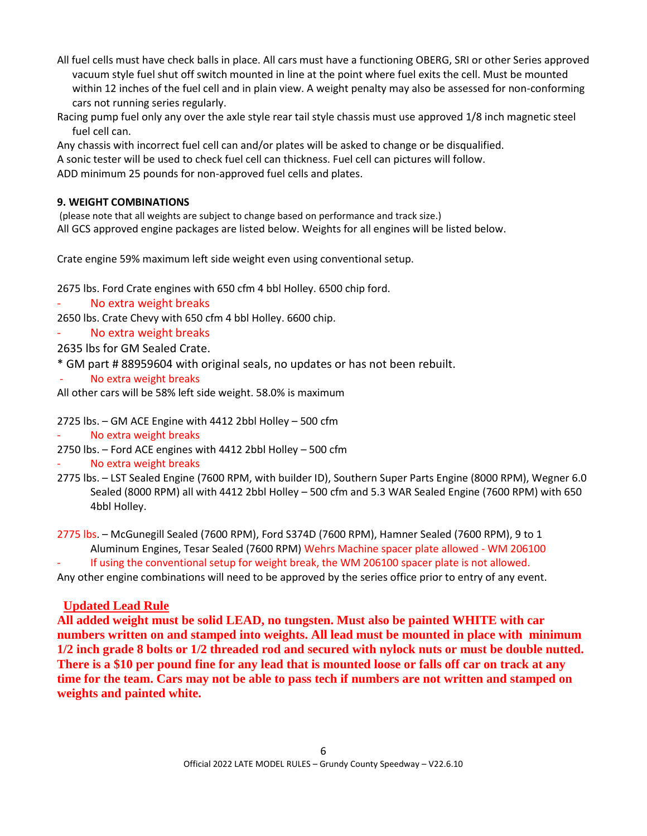- All fuel cells must have check balls in place. All cars must have a functioning OBERG, SRI or other Series approved vacuum style fuel shut off switch mounted in line at the point where fuel exits the cell. Must be mounted within 12 inches of the fuel cell and in plain view. A weight penalty may also be assessed for non-conforming cars not running series regularly.
- Racing pump fuel only any over the axle style rear tail style chassis must use approved 1/8 inch magnetic steel fuel cell can.

Any chassis with incorrect fuel cell can and/or plates will be asked to change or be disqualified. A sonic tester will be used to check fuel cell can thickness. Fuel cell can pictures will follow. ADD minimum 25 pounds for non-approved fuel cells and plates.

# **9. WEIGHT COMBINATIONS**

(please note that all weights are subject to change based on performance and track size.) All GCS approved engine packages are listed below. Weights for all engines will be listed below.

Crate engine 59% maximum left side weight even using conventional setup.

2675 lbs. Ford Crate engines with 650 cfm 4 bbl Holley. 6500 chip ford.

No extra weight breaks

2650 lbs. Crate Chevy with 650 cfm 4 bbl Holley. 6600 chip.

No extra weight breaks

2635 lbs for GM Sealed Crate.

- \* GM part # 88959604 with original seals, no updates or has not been rebuilt.
- No extra weight breaks

All other cars will be 58% left side weight. 58.0% is maximum

2725 lbs. – GM ACE Engine with 4412 2bbl Holley – 500 cfm

- No extra weight breaks
- 2750 lbs. Ford ACE engines with 4412 2bbl Holley 500 cfm
- No extra weight breaks
- 2775 lbs. LST Sealed Engine (7600 RPM, with builder ID), Southern Super Parts Engine (8000 RPM), Wegner 6.0 Sealed (8000 RPM) all with 4412 2bbl Holley – 500 cfm and 5.3 WAR Sealed Engine (7600 RPM) with 650 4bbl Holley.

2775 lbs. – McGunegill Sealed (7600 RPM), Ford S374D (7600 RPM), Hamner Sealed (7600 RPM), 9 to 1 Aluminum Engines, Tesar Sealed (7600 RPM) Wehrs Machine spacer plate allowed - WM 206100

If using the conventional setup for weight break, the WM 206100 spacer plate is not allowed. Any other engine combinations will need to be approved by the series office prior to entry of any event.

# **Updated Lead Rule**

**All added weight must be solid LEAD, no tungsten. Must also be painted WHITE with car numbers written on and stamped into weights. All lead must be mounted in place with minimum 1/2 inch grade 8 bolts or 1/2 threaded rod and secured with nylock nuts or must be double nutted. There is a \$10 per pound fine for any lead that is mounted loose or falls off car on track at any time for the team. Cars may not be able to pass tech if numbers are not written and stamped on weights and painted white.**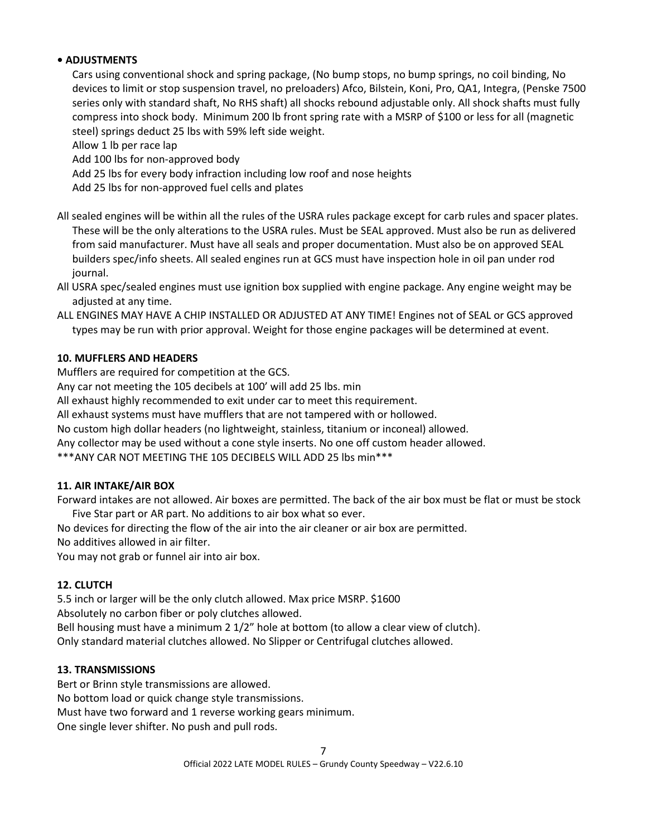# **• ADJUSTMENTS**

Cars using conventional shock and spring package, (No bump stops, no bump springs, no coil binding, No devices to limit or stop suspension travel, no preloaders) Afco, Bilstein, Koni, Pro, QA1, Integra, (Penske 7500 series only with standard shaft, No RHS shaft) all shocks rebound adjustable only. All shock shafts must fully compress into shock body. Minimum 200 lb front spring rate with a MSRP of \$100 or less for all (magnetic steel) springs deduct 25 lbs with 59% left side weight.

Allow 1 lb per race lap

Add 100 lbs for non-approved body

Add 25 lbs for every body infraction including low roof and nose heights

Add 25 lbs for non-approved fuel cells and plates

All sealed engines will be within all the rules of the USRA rules package except for carb rules and spacer plates. These will be the only alterations to the USRA rules. Must be SEAL approved. Must also be run as delivered from said manufacturer. Must have all seals and proper documentation. Must also be on approved SEAL builders spec/info sheets. All sealed engines run at GCS must have inspection hole in oil pan under rod journal.

All USRA spec/sealed engines must use ignition box supplied with engine package. Any engine weight may be adjusted at any time.

ALL ENGINES MAY HAVE A CHIP INSTALLED OR ADJUSTED AT ANY TIME! Engines not of SEAL or GCS approved types may be run with prior approval. Weight for those engine packages will be determined at event.

# **10. MUFFLERS AND HEADERS**

Mufflers are required for competition at the GCS.

Any car not meeting the 105 decibels at 100' will add 25 lbs. min

All exhaust highly recommended to exit under car to meet this requirement.

All exhaust systems must have mufflers that are not tampered with or hollowed.

No custom high dollar headers (no lightweight, stainless, titanium or inconeal) allowed.

Any collector may be used without a cone style inserts. No one off custom header allowed.

\*\*\*ANY CAR NOT MEETING THE 105 DECIBELS WILL ADD 25 lbs min\*\*\*

#### **11. AIR INTAKE/AIR BOX**

Forward intakes are not allowed. Air boxes are permitted. The back of the air box must be flat or must be stock Five Star part or AR part. No additions to air box what so ever.

No devices for directing the flow of the air into the air cleaner or air box are permitted.

No additives allowed in air filter.

You may not grab or funnel air into air box.

#### **12. CLUTCH**

5.5 inch or larger will be the only clutch allowed. Max price MSRP. \$1600

Absolutely no carbon fiber or poly clutches allowed.

Bell housing must have a minimum 2 1/2" hole at bottom (to allow a clear view of clutch). Only standard material clutches allowed. No Slipper or Centrifugal clutches allowed.

#### **13. TRANSMISSIONS**

Bert or Brinn style transmissions are allowed. No bottom load or quick change style transmissions. Must have two forward and 1 reverse working gears minimum. One single lever shifter. No push and pull rods.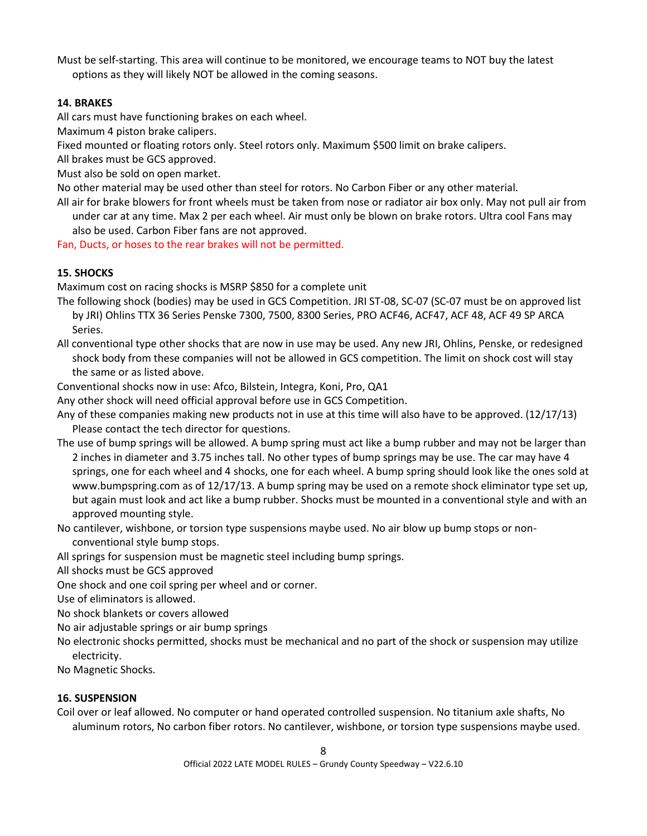Must be self-starting. This area will continue to be monitored, we encourage teams to NOT buy the latest options as they will likely NOT be allowed in the coming seasons.

#### **14. BRAKES**

All cars must have functioning brakes on each wheel.

Maximum 4 piston brake calipers.

Fixed mounted or floating rotors only. Steel rotors only. Maximum \$500 limit on brake calipers.

All brakes must be GCS approved.

Must also be sold on open market.

No other material may be used other than steel for rotors. No Carbon Fiber or any other material.

All air for brake blowers for front wheels must be taken from nose or radiator air box only. May not pull air from under car at any time. Max 2 per each wheel. Air must only be blown on brake rotors. Ultra cool Fans may also be used. Carbon Fiber fans are not approved.

Fan, Ducts, or hoses to the rear brakes will not be permitted.

# **15. SHOCKS**

Maximum cost on racing shocks is MSRP \$850 for a complete unit

- The following shock (bodies) may be used in GCS Competition. JRI ST-08, SC-07 (SC-07 must be on approved list by JRI) Ohlins TTX 36 Series Penske 7300, 7500, 8300 Series, PRO ACF46, ACF47, ACF 48, ACF 49 SP ARCA Series.
- All conventional type other shocks that are now in use may be used. Any new JRI, Ohlins, Penske, or redesigned shock body from these companies will not be allowed in GCS competition. The limit on shock cost will stay the same or as listed above.

Conventional shocks now in use: Afco, Bilstein, Integra, Koni, Pro, QA1

Any other shock will need official approval before use in GCS Competition.

- Any of these companies making new products not in use at this time will also have to be approved. (12/17/13) Please contact the tech director for questions.
- The use of bump springs will be allowed. A bump spring must act like a bump rubber and may not be larger than 2 inches in diameter and 3.75 inches tall. No other types of bump springs may be use. The car may have 4 springs, one for each wheel and 4 shocks, one for each wheel. A bump spring should look like the ones sold at www.bumpspring.com as of 12/17/13. A bump spring may be used on a remote shock eliminator type set up, but again must look and act like a bump rubber. Shocks must be mounted in a conventional style and with an approved mounting style.
- No cantilever, wishbone, or torsion type suspensions maybe used. No air blow up bump stops or nonconventional style bump stops.

All springs for suspension must be magnetic steel including bump springs.

- All shocks must be GCS approved
- One shock and one coil spring per wheel and or corner.
- Use of eliminators is allowed.
- No shock blankets or covers allowed
- No air adjustable springs or air bump springs
- No electronic shocks permitted, shocks must be mechanical and no part of the shock or suspension may utilize electricity.
- No Magnetic Shocks.

#### **16. SUSPENSION**

Coil over or leaf allowed. No computer or hand operated controlled suspension. No titanium axle shafts, No aluminum rotors, No carbon fiber rotors. No cantilever, wishbone, or torsion type suspensions maybe used.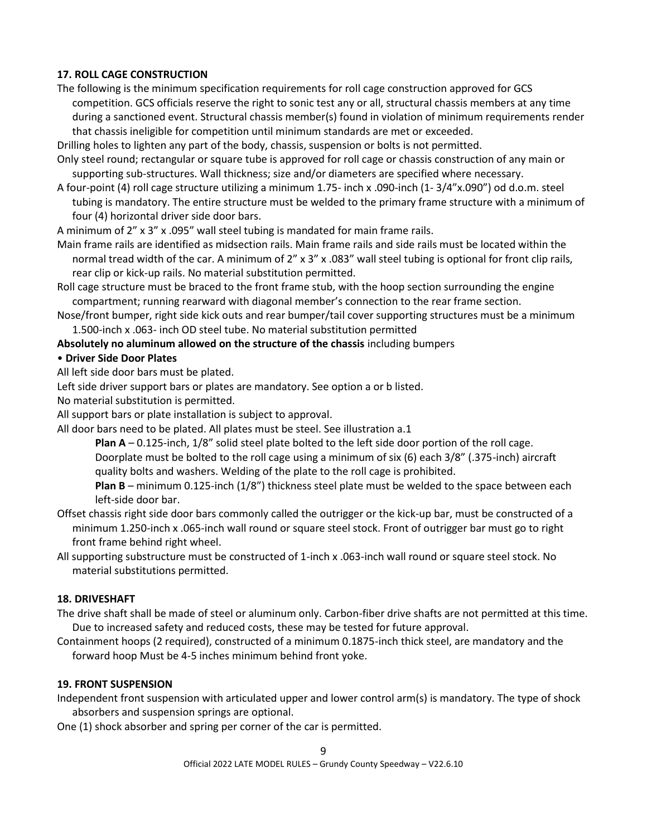# **17. ROLL CAGE CONSTRUCTION**

The following is the minimum specification requirements for roll cage construction approved for GCS competition. GCS officials reserve the right to sonic test any or all, structural chassis members at any time during a sanctioned event. Structural chassis member(s) found in violation of minimum requirements render that chassis ineligible for competition until minimum standards are met or exceeded.

Drilling holes to lighten any part of the body, chassis, suspension or bolts is not permitted.

- Only steel round; rectangular or square tube is approved for roll cage or chassis construction of any main or supporting sub-structures. Wall thickness; size and/or diameters are specified where necessary.
- A four-point (4) roll cage structure utilizing a minimum 1.75- inch x .090-inch (1- 3/4"x.090") od d.o.m. steel tubing is mandatory. The entire structure must be welded to the primary frame structure with a minimum of four (4) horizontal driver side door bars.

A minimum of 2" x 3" x .095" wall steel tubing is mandated for main frame rails.

Main frame rails are identified as midsection rails. Main frame rails and side rails must be located within the normal tread width of the car. A minimum of 2" x 3" x .083" wall steel tubing is optional for front clip rails, rear clip or kick-up rails. No material substitution permitted.

Roll cage structure must be braced to the front frame stub, with the hoop section surrounding the engine compartment; running rearward with diagonal member's connection to the rear frame section.

Nose/front bumper, right side kick outs and rear bumper/tail cover supporting structures must be a minimum 1.500-inch x .063- inch OD steel tube. No material substitution permitted

#### **Absolutely no aluminum allowed on the structure of the chassis** including bumpers

#### • **Driver Side Door Plates**

All left side door bars must be plated.

Left side driver support bars or plates are mandatory. See option a or b listed.

No material substitution is permitted.

All support bars or plate installation is subject to approval.

All door bars need to be plated. All plates must be steel. See illustration a.1

**Plan A** – 0.125-inch, 1/8" solid steel plate bolted to the left side door portion of the roll cage. Doorplate must be bolted to the roll cage using a minimum of six (6) each 3/8" (.375-inch) aircraft quality bolts and washers. Welding of the plate to the roll cage is prohibited.

**Plan B** – minimum 0.125-inch (1/8") thickness steel plate must be welded to the space between each left-side door bar.

- Offset chassis right side door bars commonly called the outrigger or the kick-up bar, must be constructed of a minimum 1.250-inch x .065-inch wall round or square steel stock. Front of outrigger bar must go to right front frame behind right wheel.
- All supporting substructure must be constructed of 1-inch x .063-inch wall round or square steel stock. No material substitutions permitted.

#### **18. DRIVESHAFT**

- The drive shaft shall be made of steel or aluminum only. Carbon-fiber drive shafts are not permitted at this time. Due to increased safety and reduced costs, these may be tested for future approval.
- Containment hoops (2 required), constructed of a minimum 0.1875-inch thick steel, are mandatory and the forward hoop Must be 4-5 inches minimum behind front yoke.

#### **19. FRONT SUSPENSION**

Independent front suspension with articulated upper and lower control arm(s) is mandatory. The type of shock absorbers and suspension springs are optional.

One (1) shock absorber and spring per corner of the car is permitted.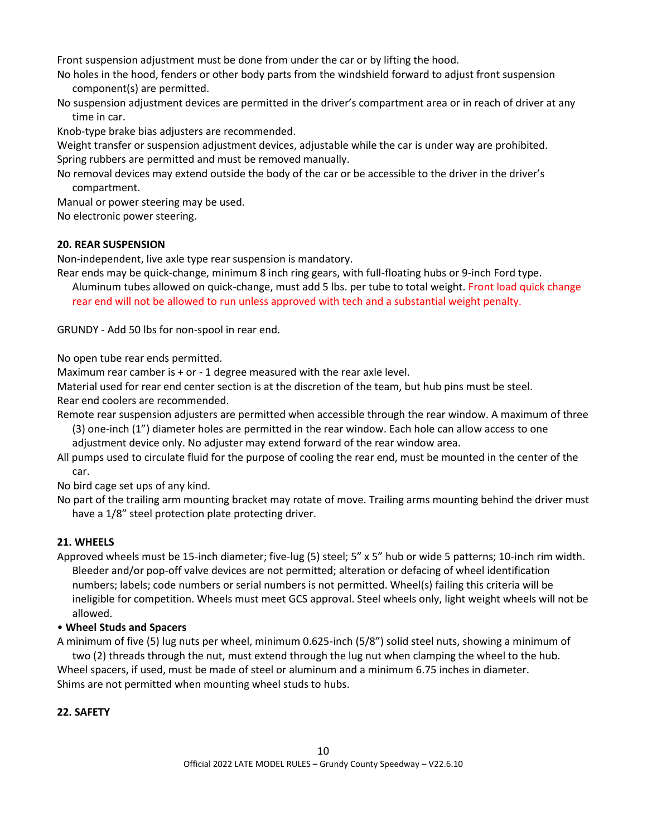Front suspension adjustment must be done from under the car or by lifting the hood.

No holes in the hood, fenders or other body parts from the windshield forward to adjust front suspension component(s) are permitted.

No suspension adjustment devices are permitted in the driver's compartment area or in reach of driver at any time in car.

Knob-type brake bias adjusters are recommended.

Weight transfer or suspension adjustment devices, adjustable while the car is under way are prohibited. Spring rubbers are permitted and must be removed manually.

No removal devices may extend outside the body of the car or be accessible to the driver in the driver's compartment.

Manual or power steering may be used.

No electronic power steering.

# **20. REAR SUSPENSION**

Non-independent, live axle type rear suspension is mandatory.

Rear ends may be quick-change, minimum 8 inch ring gears, with full-floating hubs or 9-inch Ford type.

Aluminum tubes allowed on quick-change, must add 5 lbs. per tube to total weight. Front load quick change rear end will not be allowed to run unless approved with tech and a substantial weight penalty.

GRUNDY - Add 50 lbs for non-spool in rear end.

No open tube rear ends permitted.

Maximum rear camber is + or - 1 degree measured with the rear axle level.

Material used for rear end center section is at the discretion of the team, but hub pins must be steel. Rear end coolers are recommended.

Remote rear suspension adjusters are permitted when accessible through the rear window. A maximum of three (3) one-inch (1") diameter holes are permitted in the rear window. Each hole can allow access to one adjustment device only. No adjuster may extend forward of the rear window area.

All pumps used to circulate fluid for the purpose of cooling the rear end, must be mounted in the center of the car.

No bird cage set ups of any kind.

No part of the trailing arm mounting bracket may rotate of move. Trailing arms mounting behind the driver must have a 1/8" steel protection plate protecting driver.

# **21. WHEELS**

Approved wheels must be 15-inch diameter; five-lug (5) steel; 5" x 5" hub or wide 5 patterns; 10-inch rim width. Bleeder and/or pop-off valve devices are not permitted; alteration or defacing of wheel identification numbers; labels; code numbers or serial numbers is not permitted. Wheel(s) failing this criteria will be ineligible for competition. Wheels must meet GCS approval. Steel wheels only, light weight wheels will not be allowed.

#### • **Wheel Studs and Spacers**

A minimum of five (5) lug nuts per wheel, minimum 0.625-inch (5/8") solid steel nuts, showing a minimum of two (2) threads through the nut, must extend through the lug nut when clamping the wheel to the hub. Wheel spacers, if used, must be made of steel or aluminum and a minimum 6.75 inches in diameter. Shims are not permitted when mounting wheel studs to hubs.

#### **22. SAFETY**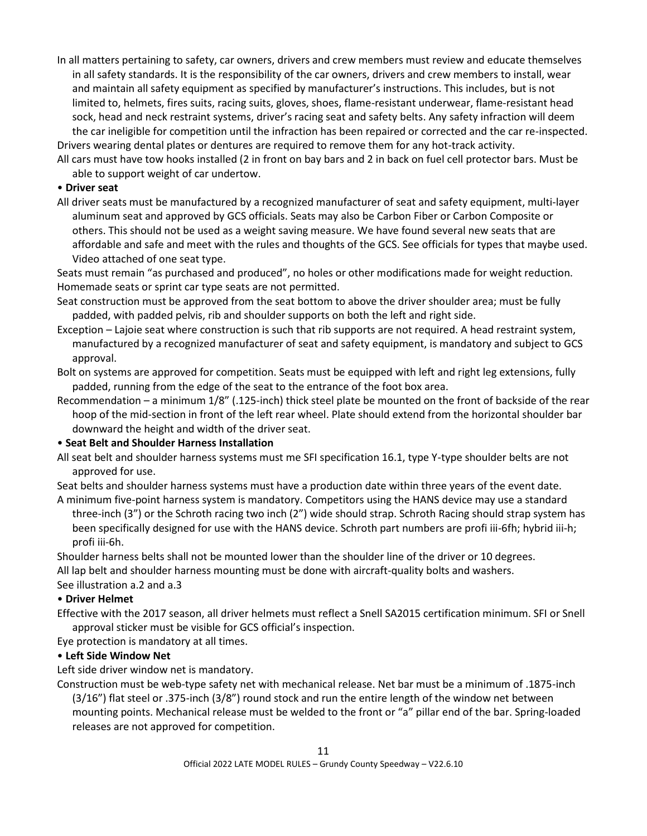In all matters pertaining to safety, car owners, drivers and crew members must review and educate themselves in all safety standards. It is the responsibility of the car owners, drivers and crew members to install, wear and maintain all safety equipment as specified by manufacturer's instructions. This includes, but is not limited to, helmets, fires suits, racing suits, gloves, shoes, flame-resistant underwear, flame-resistant head sock, head and neck restraint systems, driver's racing seat and safety belts. Any safety infraction will deem the car ineligible for competition until the infraction has been repaired or corrected and the car re-inspected. Drivers wearing dental plates or dentures are required to remove them for any hot-track activity.

All cars must have tow hooks installed (2 in front on bay bars and 2 in back on fuel cell protector bars. Must be able to support weight of car undertow.

#### • **Driver seat**

All driver seats must be manufactured by a recognized manufacturer of seat and safety equipment, multi-layer aluminum seat and approved by GCS officials. Seats may also be Carbon Fiber or Carbon Composite or others. This should not be used as a weight saving measure. We have found several new seats that are affordable and safe and meet with the rules and thoughts of the GCS. See officials for types that maybe used. Video attached of one seat type.

Seats must remain "as purchased and produced", no holes or other modifications made for weight reduction. Homemade seats or sprint car type seats are not permitted.

- Seat construction must be approved from the seat bottom to above the driver shoulder area; must be fully padded, with padded pelvis, rib and shoulder supports on both the left and right side.
- Exception Lajoie seat where construction is such that rib supports are not required. A head restraint system, manufactured by a recognized manufacturer of seat and safety equipment, is mandatory and subject to GCS approval.
- Bolt on systems are approved for competition. Seats must be equipped with left and right leg extensions, fully padded, running from the edge of the seat to the entrance of the foot box area.
- Recommendation a minimum 1/8" (.125-inch) thick steel plate be mounted on the front of backside of the rear hoop of the mid-section in front of the left rear wheel. Plate should extend from the horizontal shoulder bar downward the height and width of the driver seat.

# • **Seat Belt and Shoulder Harness Installation**

All seat belt and shoulder harness systems must me SFI specification 16.1, type Y-type shoulder belts are not approved for use.

Seat belts and shoulder harness systems must have a production date within three years of the event date. A minimum five-point harness system is mandatory. Competitors using the HANS device may use a standard

three-inch (3") or the Schroth racing two inch (2") wide should strap. Schroth Racing should strap system has been specifically designed for use with the HANS device. Schroth part numbers are profi iii-6fh; hybrid iii-h; profi iii-6h.

Shoulder harness belts shall not be mounted lower than the shoulder line of the driver or 10 degrees. All lap belt and shoulder harness mounting must be done with aircraft-quality bolts and washers. See illustration a.2 and a.3

# • **Driver Helmet**

Effective with the 2017 season, all driver helmets must reflect a Snell SA2015 certification minimum. SFI or Snell approval sticker must be visible for GCS official's inspection.

Eye protection is mandatory at all times.

# • **Left Side Window Net**

Left side driver window net is mandatory.

Construction must be web-type safety net with mechanical release. Net bar must be a minimum of .1875-inch (3/16") flat steel or .375-inch (3/8") round stock and run the entire length of the window net between mounting points. Mechanical release must be welded to the front or "a" pillar end of the bar. Spring-loaded releases are not approved for competition.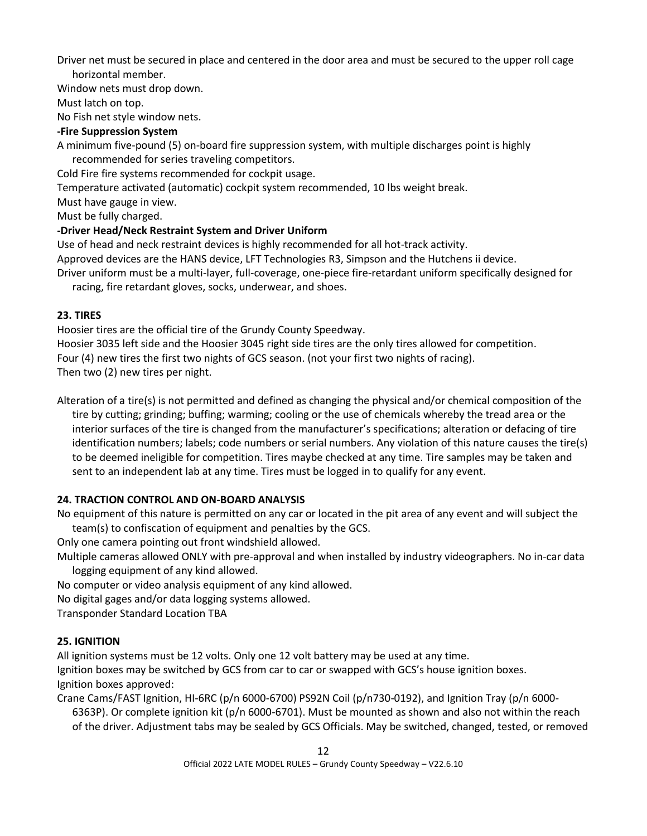Driver net must be secured in place and centered in the door area and must be secured to the upper roll cage horizontal member.

Window nets must drop down.

Must latch on top.

No Fish net style window nets.

# **-Fire Suppression System**

A minimum five-pound (5) on-board fire suppression system, with multiple discharges point is highly recommended for series traveling competitors.

Cold Fire fire systems recommended for cockpit usage.

Temperature activated (automatic) cockpit system recommended, 10 lbs weight break.

Must have gauge in view.

Must be fully charged.

# **-Driver Head/Neck Restraint System and Driver Uniform**

Use of head and neck restraint devices is highly recommended for all hot-track activity.

Approved devices are the HANS device, LFT Technologies R3, Simpson and the Hutchens ii device.

Driver uniform must be a multi-layer, full-coverage, one-piece fire-retardant uniform specifically designed for racing, fire retardant gloves, socks, underwear, and shoes.

# **23. TIRES**

Hoosier tires are the official tire of the Grundy County Speedway.

Hoosier 3035 left side and the Hoosier 3045 right side tires are the only tires allowed for competition.

Four (4) new tires the first two nights of GCS season. (not your first two nights of racing).

Then two (2) new tires per night.

Alteration of a tire(s) is not permitted and defined as changing the physical and/or chemical composition of the tire by cutting; grinding; buffing; warming; cooling or the use of chemicals whereby the tread area or the interior surfaces of the tire is changed from the manufacturer's specifications; alteration or defacing of tire identification numbers; labels; code numbers or serial numbers. Any violation of this nature causes the tire(s) to be deemed ineligible for competition. Tires maybe checked at any time. Tire samples may be taken and sent to an independent lab at any time. Tires must be logged in to qualify for any event.

# **24. TRACTION CONTROL AND ON-BOARD ANALYSIS**

No equipment of this nature is permitted on any car or located in the pit area of any event and will subject the team(s) to confiscation of equipment and penalties by the GCS.

Only one camera pointing out front windshield allowed.

Multiple cameras allowed ONLY with pre-approval and when installed by industry videographers. No in-car data logging equipment of any kind allowed.

No computer or video analysis equipment of any kind allowed.

No digital gages and/or data logging systems allowed.

Transponder Standard Location TBA

# **25. IGNITION**

All ignition systems must be 12 volts. Only one 12 volt battery may be used at any time. Ignition boxes may be switched by GCS from car to car or swapped with GCS's house ignition boxes.

Ignition boxes approved:

Crane Cams/FAST Ignition, HI-6RC (p/n 6000-6700) PS92N Coil (p/n730-0192), and Ignition Tray (p/n 6000- 6363P). Or complete ignition kit (p/n 6000-6701). Must be mounted as shown and also not within the reach of the driver. Adjustment tabs may be sealed by GCS Officials. May be switched, changed, tested, or removed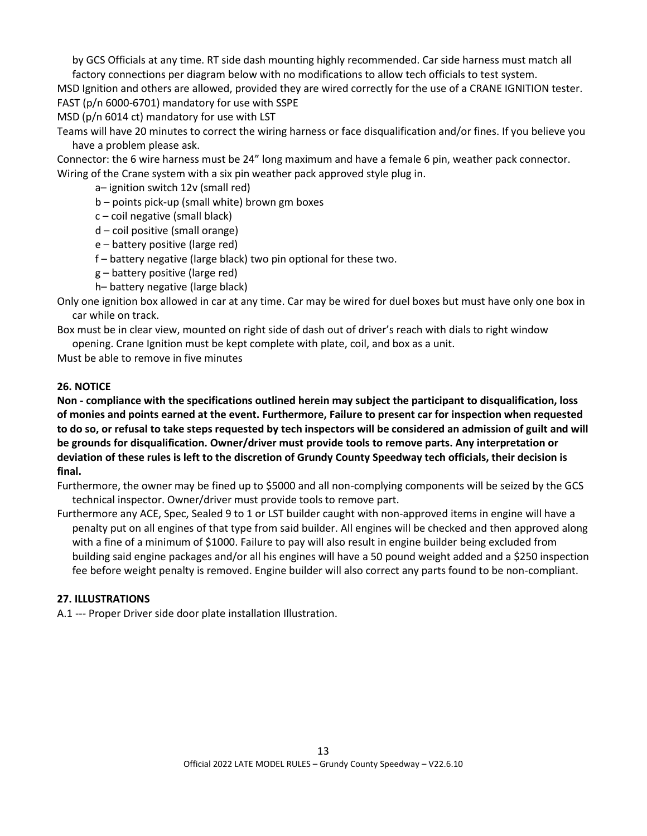by GCS Officials at any time. RT side dash mounting highly recommended. Car side harness must match all factory connections per diagram below with no modifications to allow tech officials to test system.

MSD Ignition and others are allowed, provided they are wired correctly for the use of a CRANE IGNITION tester. FAST (p/n 6000-6701) mandatory for use with SSPE

MSD (p/n 6014 ct) mandatory for use with LST

Teams will have 20 minutes to correct the wiring harness or face disqualification and/or fines. If you believe you have a problem please ask.

Connector: the 6 wire harness must be 24" long maximum and have a female 6 pin, weather pack connector. Wiring of the Crane system with a six pin weather pack approved style plug in.

a– ignition switch 12v (small red)

b – points pick-up (small white) brown gm boxes

- c coil negative (small black)
- d coil positive (small orange)
- e battery positive (large red)
- f battery negative (large black) two pin optional for these two.
- g battery positive (large red)
- h– battery negative (large black)

Only one ignition box allowed in car at any time. Car may be wired for duel boxes but must have only one box in car while on track.

Box must be in clear view, mounted on right side of dash out of driver's reach with dials to right window opening. Crane Ignition must be kept complete with plate, coil, and box as a unit.

Must be able to remove in five minutes

# **26. NOTICE**

**Non - compliance with the specifications outlined herein may subject the participant to disqualification, loss of monies and points earned at the event. Furthermore, Failure to present car for inspection when requested to do so, or refusal to take steps requested by tech inspectors will be considered an admission of guilt and will be grounds for disqualification. Owner/driver must provide tools to remove parts. Any interpretation or deviation of these rules is left to the discretion of Grundy County Speedway tech officials, their decision is final.**

Furthermore, the owner may be fined up to \$5000 and all non-complying components will be seized by the GCS technical inspector. Owner/driver must provide tools to remove part.

Furthermore any ACE, Spec, Sealed 9 to 1 or LST builder caught with non-approved items in engine will have a penalty put on all engines of that type from said builder. All engines will be checked and then approved along with a fine of a minimum of \$1000. Failure to pay will also result in engine builder being excluded from building said engine packages and/or all his engines will have a 50 pound weight added and a \$250 inspection fee before weight penalty is removed. Engine builder will also correct any parts found to be non-compliant.

#### **27. ILLUSTRATIONS**

A.1 --- Proper Driver side door plate installation Illustration.